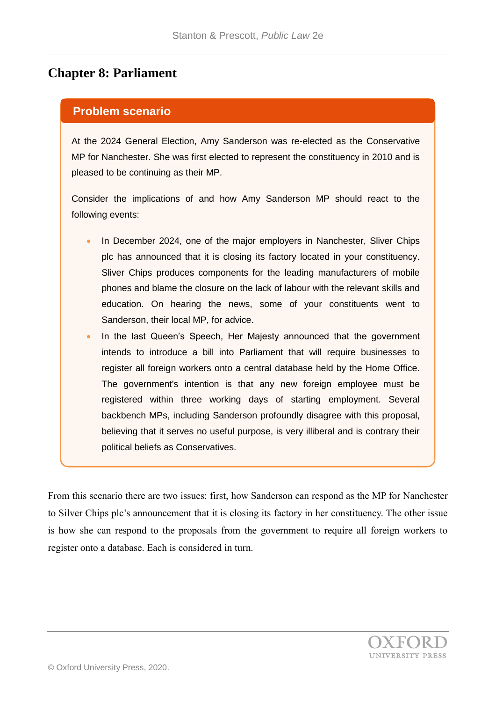## **Chapter 8: Parliament**

## **Problem scenario**

At the 2024 General Election, Amy Sanderson was re-elected as the Conservative MP for Nanchester. She was first elected to represent the constituency in 2010 and is pleased to be continuing as their MP.

Consider the implications of and how Amy Sanderson MP should react to the following events:

- In December 2024, one of the major employers in Nanchester, Sliver Chips plc has announced that it is closing its factory located in your constituency. Sliver Chips produces components for the leading manufacturers of mobile phones and blame the closure on the lack of labour with the relevant skills and education. On hearing the news, some of your constituents went to Sanderson, their local MP, for advice.
- In the last Queen's Speech, Her Majesty announced that the government intends to introduce a bill into Parliament that will require businesses to register all foreign workers onto a central database held by the Home Office. The government's intention is that any new foreign employee must be registered within three working days of starting employment. Several backbench MPs, including Sanderson profoundly disagree with this proposal, believing that it serves no useful purpose, is very illiberal and is contrary their political beliefs as Conservatives.

From this scenario there are two issues: first, how Sanderson can respond as the MP for Nanchester to Silver Chips plc's announcement that it is closing its factory in her constituency. The other issue is how she can respond to the proposals from the government to require all foreign workers to register onto a database. Each is considered in turn.

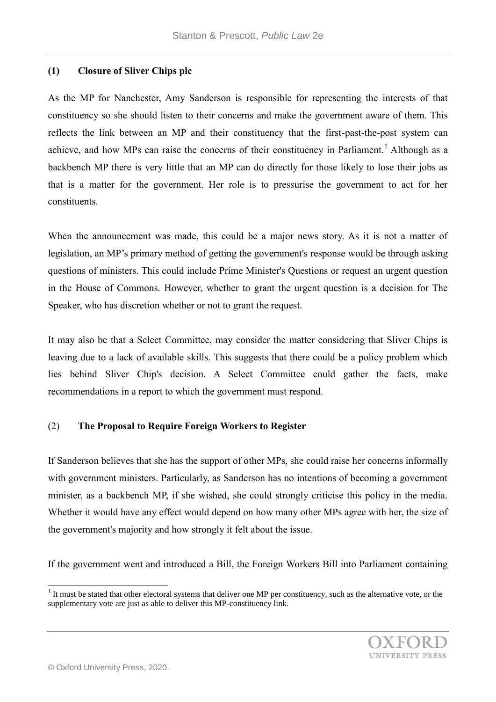## **(1) Closure of Sliver Chips plc**

As the MP for Nanchester, Amy Sanderson is responsible for representing the interests of that constituency so she should listen to their concerns and make the government aware of them. This reflects the link between an MP and their constituency that the first-past-the-post system can achieve, and how MPs can raise the concerns of their constituency in Parliament.<sup>1</sup> Although as a backbench MP there is very little that an MP can do directly for those likely to lose their jobs as that is a matter for the government. Her role is to pressurise the government to act for her constituents.

When the announcement was made, this could be a major news story. As it is not a matter of legislation, an MP's primary method of getting the government's response would be through asking questions of ministers. This could include Prime Minister's Questions or request an urgent question in the House of Commons. However, whether to grant the urgent question is a decision for The Speaker, who has discretion whether or not to grant the request.

It may also be that a Select Committee, may consider the matter considering that Sliver Chips is leaving due to a lack of available skills. This suggests that there could be a policy problem which lies behind Sliver Chip's decision. A Select Committee could gather the facts, make recommendations in a report to which the government must respond.

## (2) **The Proposal to Require Foreign Workers to Register**

If Sanderson believes that she has the support of other MPs, she could raise her concerns informally with government ministers. Particularly, as Sanderson has no intentions of becoming a government minister, as a backbench MP, if she wished, she could strongly criticise this policy in the media. Whether it would have any effect would depend on how many other MPs agree with her, the size of the government's majority and how strongly it felt about the issue.

If the government went and introduced a Bill, the Foreign Workers Bill into Parliament containing

 $1$  It must be stated that other electoral systems that deliver one MP per constituency, such as the alternative vote, or the supplementary vote are just as able to deliver this MP-constituency link.



l